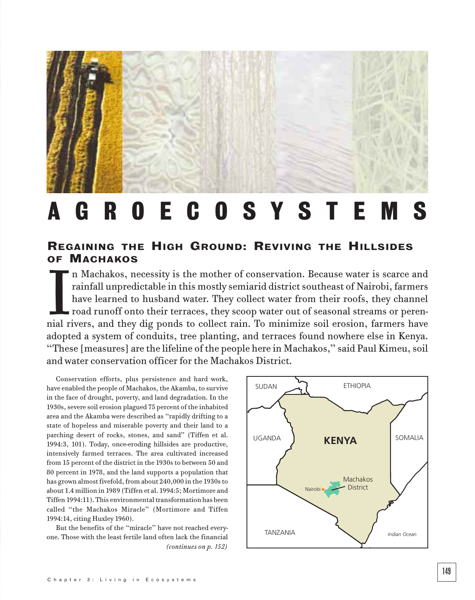

# AGROECOSYSTEMS

## REGAINING THE HIGH GROUND: REVIVING THE HILLSIDES OF MACHAKOS

In Fractions, Hoodship is the mother of consortation. Because water is searce and<br>rainfall unpredictable in this mostly semiarid district southeast of Nairobi, farmers<br>have learned to husband water. They collect water from n Machakos, necessity is the mother of conservation. Because water is scarce and rainfall unpredictable in this mostly semiarid district southeast of Nairobi, farmers have learned to husband water. They collect water from their roofs, they channel road runoff onto their terraces, they scoop water out of seasonal streams or perenadopted a system of conduits, tree planting, and terraces found nowhere else in Kenya. "These [measures] are the lifeline of the people here in Machakos," said Paul Kimeu, soil and water conservation officer for the Machakos District.

Conservation efforts, plus persistence and hard work, have enabled the people of Machakos, the Akamba, to survive in the face of drought, poverty, and land degradation. In the 1930s, severe soil erosion plagued 75 percent of the inhabited area and the Akamba were described as "rapidly drifting to a state of hopeless and miserable poverty and their land to a parching desert of rocks, stones, and sand" (Tiffen et al. 1994:3, 101). Today, once-eroding hillsides are productive, intensively farmed terraces. The area cultivated increased from 15 percent of the district in the 1930s to between 50 and 80 percent in 1978, and the land supports a population that has grown almost fivefold, from about 240,000 in the 1930s to about 1.4 million in 1989 (Tiffen et al. 1994:5; Mortimore and Tiffen 1994:11). This environmental transformation has been called "the Machakos Miracle" (Mortimore and Tiffen 1994:14, citing Huxley 1960).

But the benefits of the "miracle" have not reached everyone. Those with the least fertile land often lack the financial *(continues on p. 152)*

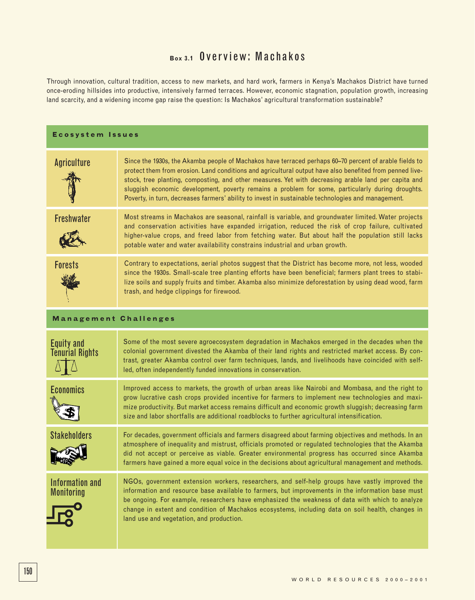## **Box 3.1** Overview: Machakos

Through innovation, cultural tradition, access to new markets, and hard work, farmers in Kenya's Machakos District have turned once-eroding hillsides into productive, intensively farmed terraces. However, economic stagnation, population growth, increasing land scarcity, and a widening income gap raise the question: Is Machakos' agricultural transformation sustainable?

| <b>Ecosystem Issues</b>                     |                                                                                                                                                                                                                                                                                                                                                                                                                                                                                                                                      |  |  |  |
|---------------------------------------------|--------------------------------------------------------------------------------------------------------------------------------------------------------------------------------------------------------------------------------------------------------------------------------------------------------------------------------------------------------------------------------------------------------------------------------------------------------------------------------------------------------------------------------------|--|--|--|
| <b>Agriculture</b>                          | Since the 1930s, the Akamba people of Machakos have terraced perhaps 60-70 percent of arable fields to<br>protect them from erosion. Land conditions and agricultural output have also benefited from penned live-<br>stock, tree planting, composting, and other measures. Yet with decreasing arable land per capita and<br>sluggish economic development, poverty remains a problem for some, particularly during droughts.<br>Poverty, in turn, decreases farmers' ability to invest in sustainable technologies and management. |  |  |  |
| <b>Freshwater</b>                           | Most streams in Machakos are seasonal, rainfall is variable, and groundwater limited. Water projects<br>and conservation activities have expanded irrigation, reduced the risk of crop failure, cultivated<br>higher-value crops, and freed labor from fetching water. But about half the population still lacks<br>potable water and water availability constrains industrial and urban growth.                                                                                                                                     |  |  |  |
| <b>Forests</b>                              | Contrary to expectations, aerial photos suggest that the District has become more, not less, wooded<br>since the 1930s. Small-scale tree planting efforts have been beneficial; farmers plant trees to stabi-<br>lize soils and supply fruits and timber. Akamba also minimize deforestation by using dead wood, farm<br>trash, and hedge clippings for firewood.                                                                                                                                                                    |  |  |  |
| Management Challenges                       |                                                                                                                                                                                                                                                                                                                                                                                                                                                                                                                                      |  |  |  |
| <b>Equity and</b><br><b>Tenurial Rights</b> | Some of the most severe agroecosystem degradation in Machakos emerged in the decades when the<br>colonial government divested the Akamba of their land rights and restricted market access. By con-<br>trast, greater Akamba control over farm techniques, lands, and livelihoods have coincided with self-<br>led, often independently funded innovations in conservation.                                                                                                                                                          |  |  |  |
| <b>Economics</b>                            | Improved access to markets, the growth of urban areas like Nairobi and Mombasa, and the right to<br>grow lucrative cash crops provided incentive for farmers to implement new technologies and maxi-<br>mize productivity. But market access remains difficult and economic growth sluggish; decreasing farm<br>size and labor shortfalls are additional roadblocks to further agricultural intensification.                                                                                                                         |  |  |  |
| <b>Stakeholders</b>                         | For decades, government officials and farmers disagreed about farming objectives and methods. In an<br>atmosphere of inequality and mistrust, officials promoted or regulated technologies that the Akamba<br>did not accept or perceive as viable. Greater environmental progress has occurred since Akamba<br>farmers have gained a more equal voice in the decisions about agricultural management and methods.                                                                                                                   |  |  |  |
| <b>Information and</b><br><b>Monitoring</b> | NGOs, government extension workers, researchers, and self-help groups have vastly improved the<br>information and resource base available to farmers, but improvements in the information base must<br>be ongoing. For example, researchers have emphasized the weakness of data with which to analyze<br>change in extent and condition of Machakos ecosystems, including data on soil health, changes in<br>land use and vegetation, and production.                                                                               |  |  |  |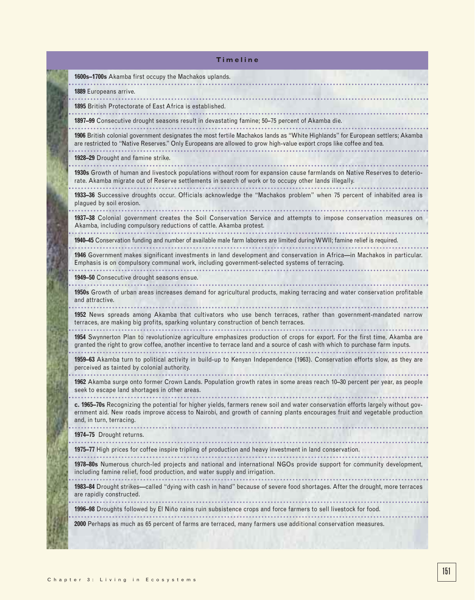| Timeline                                                                                                                                                                                                                                                                                |  |  |
|-----------------------------------------------------------------------------------------------------------------------------------------------------------------------------------------------------------------------------------------------------------------------------------------|--|--|
| 1600s-1700s Akamba first occupy the Machakos uplands.<br>1889 Europeans arrive.                                                                                                                                                                                                         |  |  |
| <b>1895</b> British Protectorate of East Africa is established.                                                                                                                                                                                                                         |  |  |
| 1897-99 Consecutive drought seasons result in devastating famine; 50-75 percent of Akamba die.                                                                                                                                                                                          |  |  |
| 1906 British colonial government designates the most fertile Machakos lands as "White Highlands" for European settlers; Akamba<br>are restricted to "Native Reserves." Only Europeans are allowed to grow high-value export crops like coffee and tea.                                  |  |  |
| 1928-29 Drought and famine strike.                                                                                                                                                                                                                                                      |  |  |
| 1930s Growth of human and livestock populations without room for expansion cause farmlands on Native Reserves to deterio-<br>rate. Akamba migrate out of Reserve settlements in search of work or to occupy other lands illegally.                                                      |  |  |
| 1933-36 Successive droughts occur. Officials acknowledge the "Machakos problem" when 75 percent of inhabited area is<br>plagued by soil erosion.                                                                                                                                        |  |  |
| 1937-38 Colonial government creates the Soil Conservation Service and attempts to impose conservation measures on<br>Akamba, including compulsory reductions of cattle. Akamba protest.                                                                                                 |  |  |
| 1940-45 Conservation funding and number of available male farm laborers are limited during WWII; famine relief is required.                                                                                                                                                             |  |  |
| 1946 Government makes significant investments in land development and conservation in Africa-in Machakos in particular.<br>Emphasis is on compulsory communal work, including government-selected systems of terracing.                                                                 |  |  |
| 1949-50 Consecutive drought seasons ensue.                                                                                                                                                                                                                                              |  |  |
| 1950s Growth of urban areas increases demand for agricultural products, making terracing and water conservation profitable<br>and attractive.                                                                                                                                           |  |  |
| 1952 News spreads among Akamba that cultivators who use bench terraces, rather than government-mandated narrow<br>terraces, are making big profits, sparking voluntary construction of bench terraces.                                                                                  |  |  |
| 1954 Swynnerton Plan to revolutionize agriculture emphasizes production of crops for export. For the first time, Akamba are<br>granted the right to grow coffee, another incentive to terrace land and a source of cash with which to purchase farm inputs.                             |  |  |
| 1959-63 Akamba turn to political activity in build-up to Kenyan Independence (1963). Conservation efforts slow, as they are<br>perceived as tainted by colonial authority.                                                                                                              |  |  |
| 1962 Akamba surge onto former Crown Lands. Population growth rates in some areas reach 10–30 percent per year, as people<br>seek to escape land shortages in other areas.                                                                                                               |  |  |
| c. 1965-70s Recognizing the potential for higher yields, farmers renew soil and water conservation efforts largely without gov-<br>ernment aid. New roads improve access to Nairobi, and growth of canning plants encourages fruit and vegetable production<br>and, in turn, terracing. |  |  |
| 1974-75 Drought returns.                                                                                                                                                                                                                                                                |  |  |
| 1975–77 High prices for coffee inspire tripling of production and heavy investment in land conservation.                                                                                                                                                                                |  |  |
| 1978-80s Numerous church-led projects and national and international NGOs provide support for community development,<br>including famine relief, food production, and water supply and irrigation.                                                                                      |  |  |
| 1983-84 Drought strikes-called "dying with cash in hand" because of severe food shortages. After the drought, more terraces<br>are rapidly constructed.                                                                                                                                 |  |  |
| 1996-98 Droughts followed by El Niño rains ruin subsistence crops and force farmers to sell livestock for food.                                                                                                                                                                         |  |  |
| 2000 Perhaps as much as 65 percent of farms are terraced, many farmers use additional conservation measures.                                                                                                                                                                            |  |  |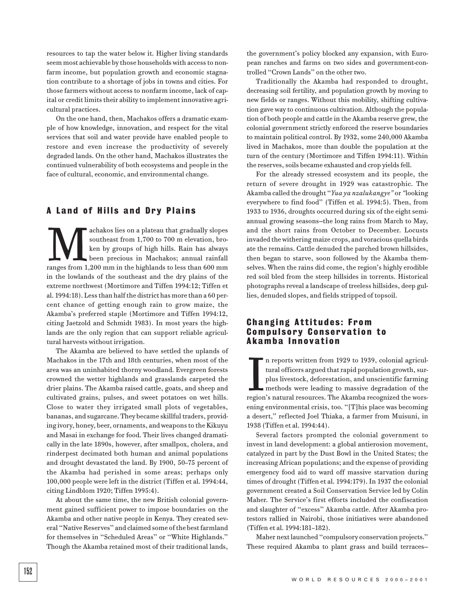resources to tap the water below it. Higher living standards seem most achievable by those households with access to nonfarm income, but population growth and economic stagnation contribute to a shortage of jobs in towns and cities. For those farmers without access to nonfarm income, lack of capital or credit limits their ability to implement innovative agricultural practices.

On the one hand, then, Machakos offers a dramatic example of how knowledge, innovation, and respect for the vital services that soil and water provide have enabled people to restore and even increase the productivity of severely degraded lands. On the other hand, Machakos illustrates the continued vulnerability of both ecosystems and people in the face of cultural, economic, and environmental change.

#### A Land of Hills and Dry Plains

achakos lies on a plateau that gradually slopes<br>southeast from 1,700 to 700 m elevation, broken by groups of high hills. Rain has always<br>been precious in Machakos; annual rainfall<br>ranges from 1,200 mm in the highlands to l southeast from 1,700 to 700 m elevation, broken by groups of high hills. Rain has always been precious in Machakos; annual rainfall ranges from 1,200 mm in the highlands to less than 600 mm in the lowlands of the southeast and the dry plains of the extreme northwest (Mortimore and Tiffen 1994:12; Tiffen et al. 1994:18). Less than half the district has more than a 60 percent chance of getting enough rain to grow maize, the Akamba's preferred staple (Mortimore and Tiffen 1994:12, citing Jaetzold and Schmidt 1983). In most years the highlands are the only region that can support reliable agricultural harvests without irrigation.

The Akamba are believed to have settled the uplands of Machakos in the 17th and 18th centuries, when most of the area was an uninhabited thorny woodland. Evergreen forests crowned the wetter highlands and grasslands carpeted the drier plains. The Akamba raised cattle, goats, and sheep and cultivated grains, pulses, and sweet potatoes on wet hills. Close to water they irrigated small plots of vegetables, bananas, and sugarcane. They became skillful traders, providing ivory, honey, beer, ornaments, and weapons to the Kikuyu and Masai in exchange for food. Their lives changed dramatically in the late 1890s, however, after smallpox, cholera, and rinderpest decimated both human and animal populations and drought devastated the land. By 1900, 50–75 percent of the Akamba had perished in some areas; perhaps only 100,000 people were left in the district (Tiffen et al. 1994:44, citing Lindblom 1920; Tiffen 1995:4).

At about the same time, the new British colonial government gained sufficient power to impose boundaries on the Akamba and other native people in Kenya. They created several "Native Reserves" and claimed some of the best farmland for themselves in "Scheduled Areas" or "White Highlands." Though the Akamba retained most of their traditional lands, the government's policy blocked any expansion, with European ranches and farms on two sides and government-controlled "Crown Lands" on the other two.

Traditionally the Akamba had responded to drought, decreasing soil fertility, and population growth by moving to new fields or ranges. Without this mobility, shifting cultivation gave way to continuous cultivation. Although the population of both people and cattle in the Akamba reserve grew, the colonial government strictly enforced the reserve boundaries to maintain political control. By 1932, some 240,000 Akamba lived in Machakos, more than double the population at the turn of the century (Mortimore and Tiffen 1994:11). Within the reserves, soils became exhausted and crop yields fell.

For the already stressed ecosystem and its people, the return of severe drought in 1929 was catastrophic. The Akamba called the drought "*Yua ya nzalukangye"* or *"*looking everywhere to find food" (Tiffen et al. 1994:5). Then, from 1933 to 1936, droughts occurred during six of the eight semiannual growing seasons—the long rains from March to May, and the short rains from October to December. Locusts invaded the withering maize crops, and voracious quella birds ate the remains. Cattle denuded the parched brown hillsides, then began to starve, soon followed by the Akamba themselves. When the rains did come, the region's highly erodible red soil bled from the steep hillsides in torrents. Historical photographs reveal a landscape of treeless hillsides, deep gullies, denuded slopes, and fields stripped of topsoil.

#### Changing Attitudes: From Compulsory Conservation to Akamba Innovation

Interest Matter Hommes C 1999, obtained agreed<br>tural officers argued that rapid population growth, sur-<br>plus livestock, deforestation, and unscientific farming<br>methods were leading to massive degradation of the<br>region's na n reports written from 1929 to 1939, colonial agricultural officers argued that rapid population growth, surplus livestock, deforestation, and unscientific farming methods were leading to massive degradation of the ening environmental crisis, too. "[T]his place was becoming a desert," reflected Joel Thiaka, a farmer from Muisuni, in 1938 (Tiffen et al. 1994:44).

Several factors prompted the colonial government to invest in land development: a global antierosion movement, catalyzed in part by the Dust Bowl in the United States; the increasing African populations; and the expense of providing emergency food aid to ward off massive starvation during times of drought (Tiffen et al. 1994:179). In 1937 the colonial government created a Soil Conservation Service led by Colin Maher. The Service's first efforts included the confiscation and slaughter of "excess" Akamba cattle. After Akamba protestors rallied in Nairobi, those initiatives were abandoned (Tiffen et al. 1994:181–182).

Maher next launched "compulsory conservation projects." These required Akamba to plant grass and build terraces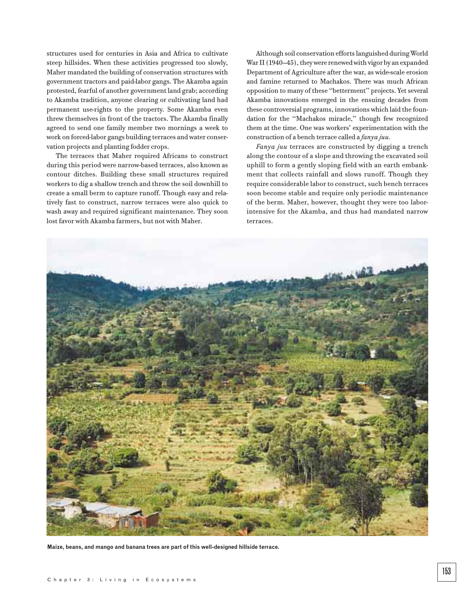structures used for centuries in Asia and Africa to cultivate steep hillsides. When these activities progressed too slowly, Maher mandated the building of conservation structures with government tractors and paid-labor gangs. The Akamba again protested, fearful of another government land grab; according to Akamba tradition, anyone clearing or cultivating land had permanent use-rights to the property. Some Akamba even threw themselves in front of the tractors. The Akamba finally agreed to send one family member two mornings a week to work on forced-labor gangs building terraces and water conservation projects and planting fodder crops.

The terraces that Maher required Africans to construct during this period were narrow-based terraces, also known as contour ditches. Building these small structures required workers to dig a shallow trench and throw the soil downhill to create a small berm to capture runoff. Though easy and relatively fast to construct, narrow terraces were also quick to wash away and required significant maintenance. They soon lost favor with Akamba farmers, but not with Maher.

Although soil conservation efforts languished during World War II (1940—45), they were renewed with vigor by an expanded Department of Agriculture after the war, as wide-scale erosion and famine returned to Machakos. There was much African opposition to many of these "betterment" projects. Yet several Akamba innovations emerged in the ensuing decades from these controversial programs, innovations which laid the foundation for the "Machakos miracle," though few recognized them at the time. One was workers' experimentation with the construction of a bench terrace called a *fanya juu.* 

*Fanya juu* terraces are constructed by digging a trench along the contour of a slope and throwing the excavated soil uphill to form a gently sloping field with an earth embankment that collects rainfall and slows runoff. Though they require considerable labor to construct, such bench terraces soon become stable and require only periodic maintenance of the berm. Maher, however, thought they were too laborintensive for the Akamba, and thus had mandated narrow terraces.



**Maize, beans, and mango and banana trees are part of this well-designed hillside terrace.**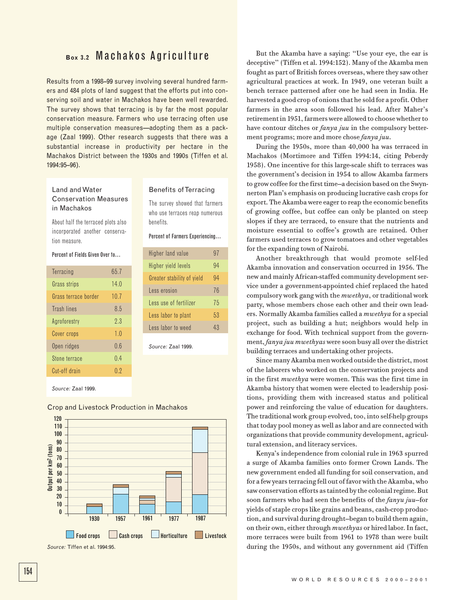## **Box 3.2** Machakos Agriculture

Results from a 1998–99 survey involving several hundred farmers and 484 plots of land suggest that the efforts put into conserving soil and water in Machakos have been well rewarded. The survey shows that terracing is by far the most popular conservation measure. Farmers who use terracing often use multiple conservation measures—adopting them as a package (Zaal 1999). Other research suggests that there was a substantial increase in productivity per hectare in the Machakos District between the 1930s and 1990s (Tiffen et al. 1994:95–96).

#### Land and Water Conservation Measures in Machakos

About half the terraced plots also incorporated another conservation measure.

#### Percent of Fields Given Over to…

| Terracing            | 65.7 |
|----------------------|------|
| Grass strips         | 14.0 |
| Grass terrace border | 10.7 |
| Trash lines          | 8.5  |
| Agroforestry         | 9.3  |
| Cover crops          | 1.0  |
| Open ridges          | 0.6  |
| Stone terrace        | 0.4  |
| Cut-off drain        | 0.2  |

| Higher land value          | 97 |
|----------------------------|----|
| Higher yield levels        | 94 |
| Greater stability of yield | 94 |
| Less erosion               | 76 |
| Less use of fertilizer     | 75 |
| Less labor to plant        | 53 |
| Less labor to weed         | 43 |
| Source: Zaal 1999.         |    |

Percent of Farmers Experiencing…

Benefits of Terracing The survey showed that farmers who use terraces reap numerous

benefits.

*Source:* Zaal 1999.



Crop and Livestock Production in Machakos

But the Akamba have a saying: "Use your eye, the ear is deceptive" (Tiffen et al. 1994:152). Many of the Akamba men fought as part of British forces overseas, where they saw other agricultural practices at work. In 1949, one veteran built a bench terrace patterned after one he had seen in India. He harvested a good crop of onions that he sold for a profit. Other farmers in the area soon followed his lead. After Maher's retirement in 1951, farmers were allowed to choose whether to have contour ditches or *fanya juu* in the compulsory betterment programs; more and more chose *fanya juu*.

During the 1950s, more than 40,000 ha was terraced in Machakos (Mortimore and Tiffen 1994:14, citing Peberdy 1958). One incentive for this large-scale shift to terraces was the government's decision in 1954 to allow Akamba farmers to grow coffee for the first time—a decision based on the Swynnerton Plan's emphasis on producing lucrative cash crops for export. The Akamba were eager to reap the economic benefits of growing coffee, but coffee can only be planted on steep slopes if they are terraced, to ensure that the nutrients and moisture essential to coffee's growth are retained. Other farmers used terraces to grow tomatoes and other vegetables for the expanding town of Nairobi.

Another breakthrough that would promote self-led Akamba innovation and conservation occurred in 1956. The new and mainly African-staffed community development service under a government-appointed chief replaced the hated compulsory work gang with the *mwethya*, or traditional work party, whose members chose each other and their own leaders. Normally Akamba families called a *mwethya* for a special project, such as building a hut; neighbors would help in exchange for food. With technical support from the government, *fanya juu mwethyas* were soon busy all over the district building terraces and undertaking other projects.

Since many Akamba men worked outside the district, most of the laborers who worked on the conservation projects and in the first *mwethya* were women. This was the first time in Akamba history that women were elected to leadership positions, providing them with increased status and political power and reinforcing the value of education for daughters. The traditional work group evolved, too, into self-help groups that today pool money as well as labor and are connected with organizations that provide community development, agricultural extension, and literacy services.

Kenya's independence from colonial rule in 1963 spurred a surge of Akamba families onto former Crown Lands. The new government ended all funding for soil conservation, and for a few years terracing fell out of favor with the Akamba, who saw conservation efforts as tainted by the colonial regime. But soon farmers who had seen the benefits of the *fanyu juu*—for yields of staple crops like grains and beans, cash-crop production, and survival during drought—began to build them again, on their own, either through *mwethyas* or hired labor. In fact, more terraces were built from 1961 to 1978 than were built during the 1950s, and without any government aid (Tiffen

*Source:* Tiffen et al. 1994:95.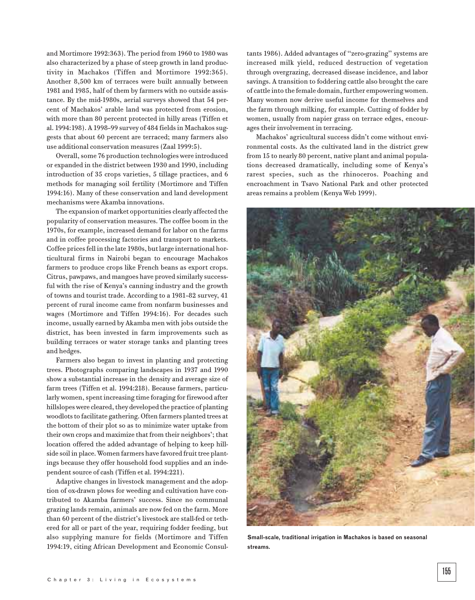and Mortimore 1992:363). The period from 1960 to 1980 was also characterized by a phase of steep growth in land productivity in Machakos (Tiffen and Mortimore 1992:365). Another 8,500 km of terraces were built annually between 1981 and 1985, half of them by farmers with no outside assistance. By the mid-1980s, aerial surveys showed that 54 percent of Machakos' arable land was protected from erosion, with more than 80 percent protected in hilly areas (Tiffen et al. 1994:198). A 1998–99 survey of 484 fields in Machakos suggests that about 60 percent are terraced; many farmers also use additional conservation measures (Zaal 1999:5).

Overall, some 76 production technologies were introduced or expanded in the district between 1930 and 1990, including introduction of 35 crops varieties, 5 tillage practices, and 6 methods for managing soil fertility (Mortimore and Tiffen 1994:16). Many of these conservation and land development mechanisms were Akamba innovations.

The expansion of market opportunities clearly affected the popularity of conservation measures. The coffee boom in the 1970s, for example, increased demand for labor on the farms and in coffee processing factories and transport to markets. Coffee prices fell in the late 1980s, but large international horticultural firms in Nairobi began to encourage Machakos farmers to produce crops like French beans as export crops. Citrus, pawpaws, and mangoes have proved similarly successful with the rise of Kenya's canning industry and the growth of towns and tourist trade. According to a 1981–82 survey, 41 percent of rural income came from nonfarm businesses and wages (Mortimore and Tiffen 1994:16). For decades such income, usually earned by Akamba men with jobs outside the district, has been invested in farm improvements such as building terraces or water storage tanks and planting trees and hedges.

Farmers also began to invest in planting and protecting trees. Photographs comparing landscapes in 1937 and 1990 show a substantial increase in the density and average size of farm trees (Tiffen et al. 1994:218). Because farmers, particularly women, spent increasing time foraging for firewood after hillslopes were cleared, they developed the practice of planting woodlots to facilitate gathering. Often farmers planted trees at the bottom of their plot so as to minimize water uptake from their own crops and maximize that from their neighbors'; that location offered the added advantage of helping to keep hillside soil in place. Women farmers have favored fruit tree plantings because they offer household food supplies and an independent source of cash (Tiffen et al. 1994:221).

Adaptive changes in livestock management and the adoption of ox-drawn plows for weeding and cultivation have contributed to Akamba farmers' success. Since no communal grazing lands remain, animals are now fed on the farm. More than 60 percent of the district's livestock are stall-fed or tethered for all or part of the year, requiring fodder feeding, but also supplying manure for fields (Mortimore and Tiffen 1994:19, citing African Development and Economic Consultants 1986). Added advantages of "zero-grazing" systems are increased milk yield, reduced destruction of vegetation through overgrazing, decreased disease incidence, and labor savings. A transition to foddering cattle also brought the care of cattle into the female domain, further empowering women. Many women now derive useful income for themselves and the farm through milking, for example. Cutting of fodder by women, usually from napier grass on terrace edges, encourages their involvement in terracing.

Machakos' agricultural success didn't come without environmental costs. As the cultivated land in the district grew from 15 to nearly 80 percent, native plant and animal populations decreased dramatically, including some of Kenya's rarest species, such as the rhinoceros. Poaching and encroachment in Tsavo National Park and other protected areas remains a problem (Kenya Web 1999).



**Small-scale, traditional irrigation in Machakos is based on seasonal streams.**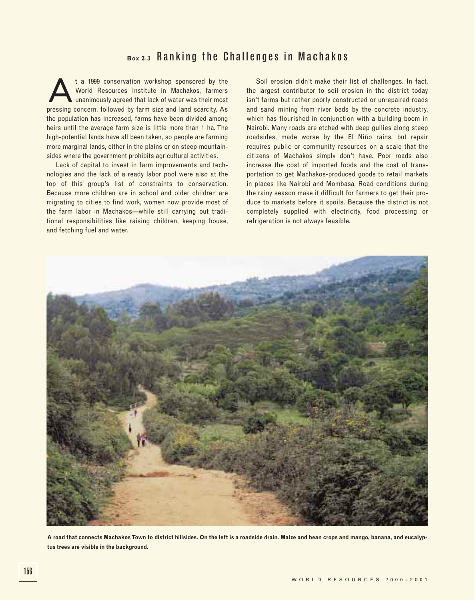## **Box 3.3** Ranking the Challenges in Machakos

t a 1999 conservation workshop sponsored by the World Resources Institute in Machakos, farmers unanimously agreed that lack of water was their most pressing concern, followed by farm size and land scarcity. As the population has increased, farms have been divided among heirs until the average farm size is little more than 1 ha. The high-potential lands have all been taken, so people are farming more marginal lands, either in the plains or on steep mountainsides where the government prohibits agricultural activities.

Lack of capital to invest in farm improvements and technologies and the lack of a ready labor pool were also at the top of this group's list of constraints to conservation. Because more children are in school and older children are migrating to cities to find work, women now provide most of the farm labor in Machakos—while still carrying out traditional responsibilities like raising children, keeping house, and fetching fuel and water.

Soil erosion didn't make their list of challenges. In fact, the largest contributor to soil erosion in the district today isn't farms but rather poorly constructed or unrepaired roads and sand mining from river beds by the concrete industry, which has flourished in conjunction with a building boom in Nairobi. Many roads are etched with deep gullies along steep roadsides, made worse by the El Niño rains, but repair requires public or community resources on a scale that the citizens of Machakos simply don't have. Poor roads also increase the cost of imported foods and the cost of transportation to get Machakos-produced goods to retail markets in places like Nairobi and Mombasa. Road conditions during the rainy season make it difficult for farmers to get their produce to markets before it spoils. Because the district is not completely supplied with electricity, food processing or refrigeration is not always feasible.



**A road that connects Machakos Town to district hillsides. On the left is a roadside drain. Maize and bean crops and mango, banana, and eucalyptus trees are visible in the background.**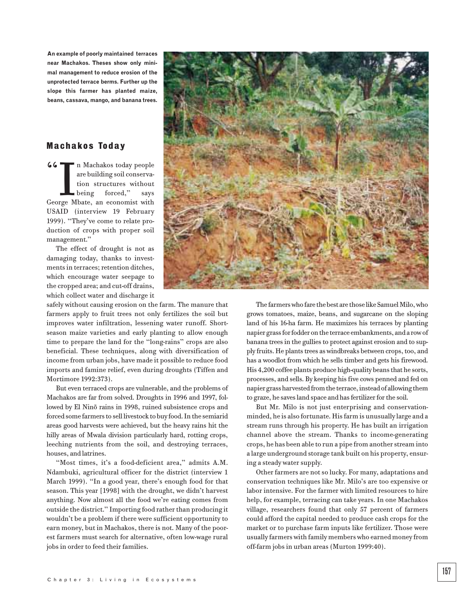**An example of poorly maintained terraces near Machakos. Theses show only minimal management to reduce erosion of the unprotected terrace berms. Further up the slope this farmer has planted maize, beans, cassava, mango, and banana trees.**

#### Machakos Today

"<br>"<br>" The anti-andre coday properties are building soil conserva-<br>tion structures without<br>being forced," says<br>George Mbate, an economist with n Machakos today people are building soil conservation structures without being forced," says USAID (interview 19 February 1999). "They've come to relate production of crops with proper soil management."

The effect of drought is not as damaging today, thanks to investments in terraces; retention ditches, which encourage water seepage to the cropped area; and cut-off drains, which collect water and discharge it

safely without causing erosion on the farm. The manure that farmers apply to fruit trees not only fertilizes the soil but improves water infiltration, lessening water runoff. Shortseason maize varieties and early planting to allow enough time to prepare the land for the "long-rains" crops are also beneficial. These techniques, along with diversification of income from urban jobs, have made it possible to reduce food imports and famine relief, even during droughts (Tiffen and Mortimore 1992:373).

But even terraced crops are vulnerable, and the problems of Machakos are far from solved. Droughts in 1996 and 1997, followed by El Ninõ rains in 1998, ruined subsistence crops and forced some farmers to sell livestock to buy food. In the semiarid areas good harvests were achieved, but the heavy rains hit the hilly areas of Mwala division particularly hard, rotting crops, leeching nutrients from the soil, and destroying terraces, houses, and latrines.

"Most times, it's a food-deficient area," admits A.M. Ndambuki, agricultural officer for the district (interview 1 March 1999). "In a good year, there's enough food for that season. This year [1998] with the drought, we didn't harvest anything. Now almost all the food we're eating comes from outside the district." Importing food rather than producing it wouldn't be a problem if there were sufficient opportunity to earn money, but in Machakos, there is not. Many of the poorest farmers must search for alternative, often low-wage rural jobs in order to feed their families.



The farmers who fare the best are those like Samuel Milo, who grows tomatoes, maize, beans, and sugarcane on the sloping land of his 16-ha farm. He maximizes his terraces by planting napier grass for fodder on the terrace embankments, and a row of banana trees in the gullies to protect against erosion and to supply fruits. He plants trees as windbreaks between crops, too, and has a woodlot from which he sells timber and gets his firewood. His 4,200 coffee plants produce high-quality beans that he sorts, processes, and sells. By keeping his five cows penned and fed on napier grass harvested from the terrace, instead of allowing them to graze, he saves land space and has fertilizer for the soil.

But Mr. Milo is not just enterprising and conservationminded, he is also fortunate. His farm is unusually large and a stream runs through his property. He has built an irrigation channel above the stream. Thanks to income-generating crops, he has been able to run a pipe from another stream into a large underground storage tank built on his property, ensuring a steady water supply.

Other farmers are not so lucky. For many, adaptations and conservation techniques like Mr. Milo's are too expensive or labor intensive. For the farmer with limited resources to hire help, for example, terracing can take years. In one Machakos village, researchers found that only 57 percent of farmers could afford the capital needed to produce cash crops for the market or to purchase farm inputs like fertilizer. Those were usually farmers with family members who earned money from off-farm jobs in urban areas (Murton 1999:40).